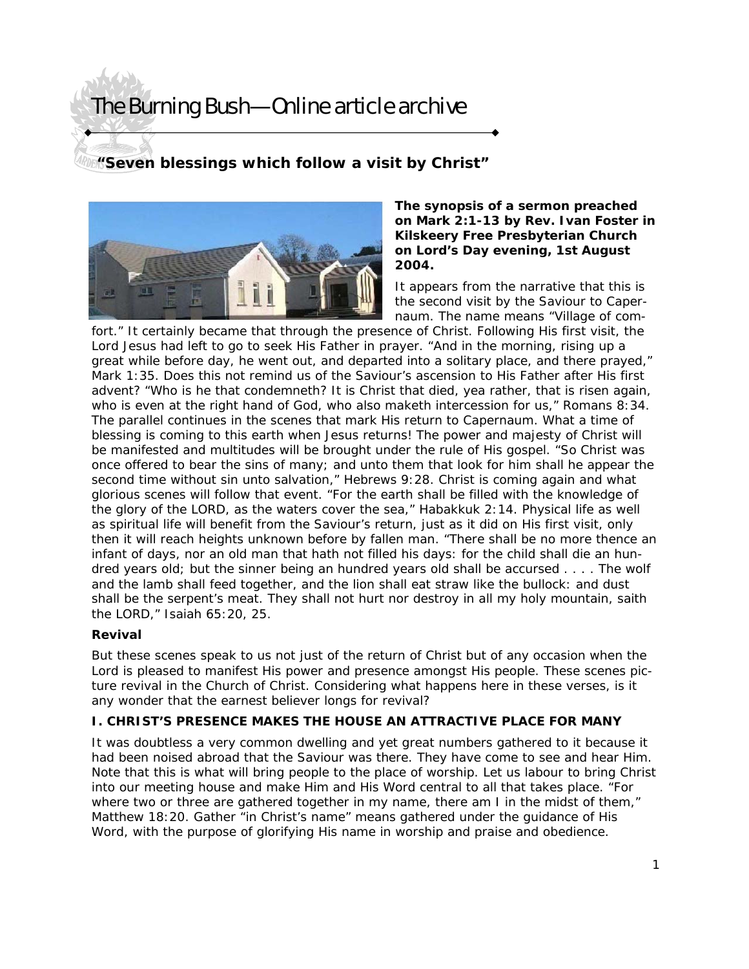**"Seven blessings which follow a visit by Christ"** 



#### **The synopsis of a sermon preached on Mark 2:1-13 by Rev. Ivan Foster in Kilskeery Free Presbyterian Church on Lord's Day evening, 1st August 2004.**

It appears from the narrative that this is the second visit by the Saviour to Capernaum. The name means "Village of com-

fort." It certainly became that through the presence of Christ. Following His first visit, the Lord Jesus had left to go to seek His Father in prayer. "And in the morning, rising up a great while before day, he went out, and departed into a solitary place, and there prayed," Mark 1:35. Does this not remind us of the Saviour's ascension to His Father after His first advent? "Who is he that condemneth? It is Christ that died, yea rather, that is risen again, who is even at the right hand of God, who also maketh intercession for us," Romans 8:34. The parallel continues in the scenes that mark His return to Capernaum. What a time of blessing is coming to this earth when Jesus returns! The power and majesty of Christ will be manifested and multitudes will be brought under the rule of His gospel. "So Christ was once offered to bear the sins of many; and unto them that look for him shall he appear the second time without sin unto salvation," Hebrews 9:28. Christ is coming again and what glorious scenes will follow that event. "For the earth shall be filled with the knowledge of the glory of the LORD, as the waters cover the sea," Habakkuk 2:14. Physical life as well as spiritual life will benefit from the Saviour's return, just as it did on His first visit, only then it will reach heights unknown before by fallen man. "There shall be no more thence an infant of days, nor an old man that hath not filled his days: for the child shall die an hundred years old; but the sinner being an hundred years old shall be accursed . . . . The wolf and the lamb shall feed together, and the lion shall eat straw like the bullock: and dust shall be the serpent's meat. They shall not hurt nor destroy in all my holy mountain, saith the LORD," Isaiah 65:20, 25.

## **Revival**

But these scenes speak to us not just of the return of Christ but of any occasion when the Lord is pleased to manifest His power and presence amongst His people. These scenes picture revival in the Church of Christ. Considering what happens here in these verses, is it any wonder that the earnest believer longs for revival?

## **I. CHRIST'S PRESENCE MAKES THE HOUSE AN ATTRACTIVE PLACE FOR MANY**

It was doubtless a very common dwelling and yet great numbers gathered to it because it had been noised abroad that the Saviour was there. They have come to see and hear Him. Note that this is what will bring people to the place of worship. Let us labour to bring Christ into our meeting house and make Him and His Word central to all that takes place. "For where two or three are gathered together in my name, there am I in the midst of them," Matthew 18:20. Gather "in Christ's name" means gathered under the guidance of His Word, with the purpose of glorifying His name in worship and praise and obedience.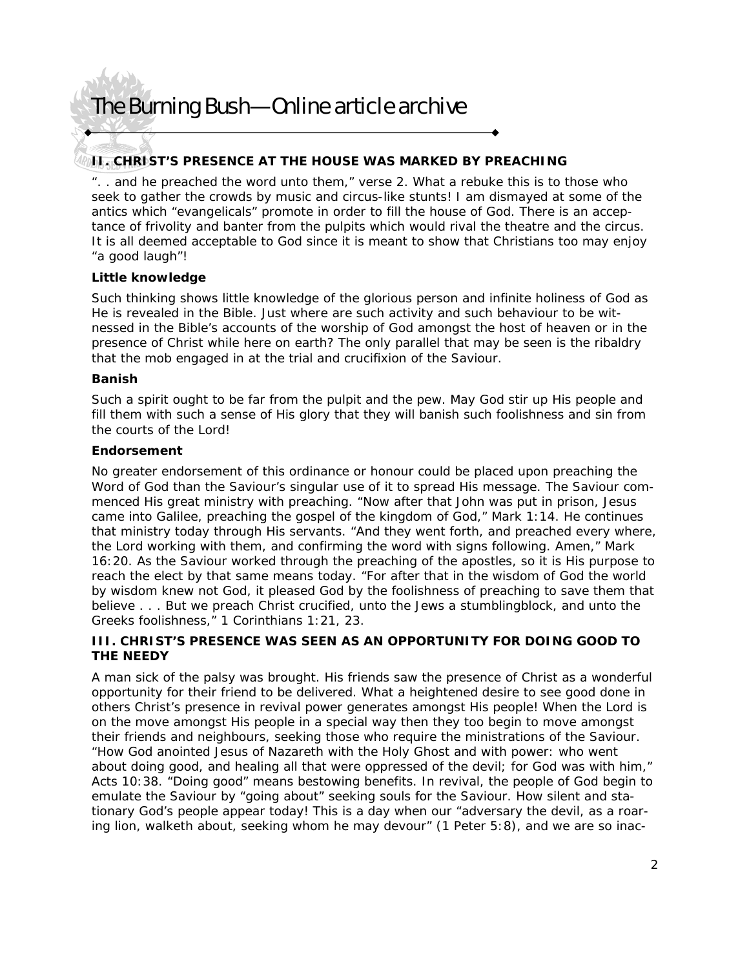## **II. CHRIST'S PRESENCE AT THE HOUSE WAS MARKED BY PREACHING**

". . and he preached the word unto them," verse 2. What a rebuke this is to those who seek to gather the crowds by music and circus-like stunts! I am dismayed at some of the antics which "evangelicals" promote in order to fill the house of God. There is an acceptance of frivolity and banter from the pulpits which would rival the theatre and the circus. It is all deemed acceptable to God since it is meant to show that Christians too may enjoy "a good laugh"!

### **Little knowledge**

Such thinking shows little knowledge of the glorious person and infinite holiness of God as He is revealed in the Bible. Just where are such activity and such behaviour to be witnessed in the Bible's accounts of the worship of God amongst the host of heaven or in the presence of Christ while here on earth? The only parallel that may be seen is the ribaldry that the mob engaged in at the trial and crucifixion of the Saviour.

#### **Banish**

Such a spirit ought to be far from the pulpit and the pew. May God stir up His people and fill them with such a sense of His glory that they will banish such foolishness and sin from the courts of the Lord!

### **Endorsement**

No greater endorsement of this ordinance or honour could be placed upon preaching the Word of God than the Saviour's singular use of it to spread His message. The Saviour commenced His great ministry with preaching. "Now after that John was put in prison, Jesus came into Galilee, preaching the gospel of the kingdom of God," Mark 1:14. He continues that ministry today through His servants. "And they went forth, and preached every where, the Lord working with them, and confirming the word with signs following. Amen," Mark 16:20. As the Saviour worked through the preaching of the apostles, so it is His purpose to reach the elect by that same means today. "For after that in the wisdom of God the world by wisdom knew not God, it pleased God by the foolishness of preaching to save them that believe . . . But we preach Christ crucified, unto the Jews a stumblingblock, and unto the Greeks foolishness," 1 Corinthians 1:21, 23.

### **III. CHRIST'S PRESENCE WAS SEEN AS AN OPPORTUNITY FOR DOING GOOD TO THE NEEDY**

A man sick of the palsy was brought. His friends saw the presence of Christ as a wonderful opportunity for their friend to be delivered. What a heightened desire to see good done in others Christ's presence in revival power generates amongst His people! When the Lord is on the move amongst His people in a special way then they too begin to move amongst their friends and neighbours, seeking those who require the ministrations of the Saviour. "How God anointed Jesus of Nazareth with the Holy Ghost and with power: who went about doing good, and healing all that were oppressed of the devil; for God was with him," Acts 10:38. "Doing good" means bestowing benefits. In revival, the people of God begin to emulate the Saviour by "going about" seeking souls for the Saviour. How silent and stationary God's people appear today! This is a day when our "adversary the devil, as a roaring lion, walketh about, seeking whom he may devour" (1 Peter 5:8), and we are so inac-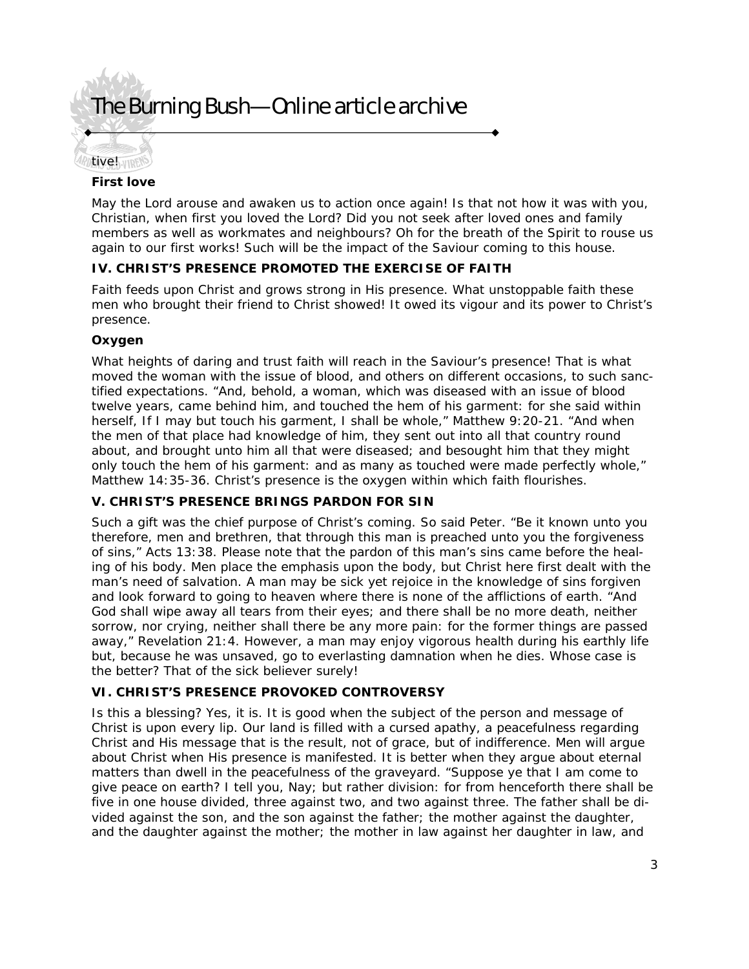

### **First love**

May the Lord arouse and awaken us to action once again! Is that not how it was with you, Christian, when first you loved the Lord? Did you not seek after loved ones and family members as well as workmates and neighbours? Oh for the breath of the Spirit to rouse us again to our first works! Such will be the impact of the Saviour coming to this house.

### **IV. CHRIST'S PRESENCE PROMOTED THE EXERCISE OF FAITH**

Faith feeds upon Christ and grows strong in His presence. What unstoppable faith these men who brought their friend to Christ showed! It owed its vigour and its power to Christ's presence.

### **Oxygen**

What heights of daring and trust faith will reach in the Saviour's presence! That is what moved the woman with the issue of blood, and others on different occasions, to such sanctified expectations. "And, behold, a woman, which was diseased with an issue of blood twelve years, came behind him, and touched the hem of his garment: for she said within herself, If I may but touch his garment, I shall be whole," Matthew 9:20-21. "And when the men of that place had knowledge of him, they sent out into all that country round about, and brought unto him all that were diseased; and besought him that they might only touch the hem of his garment: and as many as touched were made perfectly whole," Matthew 14:35-36. Christ's presence is the oxygen within which faith flourishes.

## **V. CHRIST'S PRESENCE BRINGS PARDON FOR SIN**

Such a gift was the chief purpose of Christ's coming. So said Peter. "Be it known unto you therefore, men and brethren, that through this man is preached unto you the forgiveness of sins," Acts 13:38. Please note that the pardon of this man's sins came before the healing of his body. Men place the emphasis upon the body, but Christ here first dealt with the man's need of salvation. A man may be sick yet rejoice in the knowledge of sins forgiven and look forward to going to heaven where there is none of the afflictions of earth. "And God shall wipe away all tears from their eyes; and there shall be no more death, neither sorrow, nor crying, neither shall there be any more pain: for the former things are passed away," Revelation 21:4. However, a man may enjoy vigorous health during his earthly life but, because he was unsaved, go to everlasting damnation when he dies. Whose case is the better? That of the sick believer surely!

### **VI. CHRIST'S PRESENCE PROVOKED CONTROVERSY**

Is this a blessing? Yes, it is. It is good when the subject of the person and message of Christ is upon every lip. Our land is filled with a cursed apathy, a peacefulness regarding Christ and His message that is the result, not of grace, but of indifference. Men will argue about Christ when His presence is manifested. It is better when they argue about eternal matters than dwell in the peacefulness of the graveyard. "Suppose ye that I am come to give peace on earth? I tell you, Nay; but rather division: for from henceforth there shall be five in one house divided, three against two, and two against three. The father shall be divided against the son, and the son against the father; the mother against the daughter, and the daughter against the mother; the mother in law against her daughter in law, and